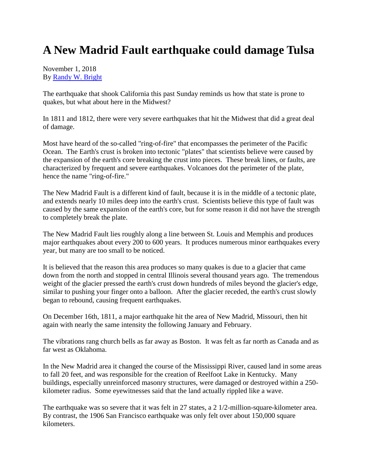## **A New Madrid Fault earthquake could damage Tulsa**

November 1, 2018 By [Randy W. Bright](http://www.tulsabeacon.com/author/slug-o6yd1v)

The earthquake that shook California this past Sunday reminds us how that state is prone to quakes, but what about here in the Midwest?

In 1811 and 1812, there were very severe earthquakes that hit the Midwest that did a great deal of damage.

Most have heard of the so-called "ring-of-fire" that encompasses the perimeter of the Pacific Ocean. The Earth's crust is broken into tectonic "plates" that scientists believe were caused by the expansion of the earth's core breaking the crust into pieces. These break lines, or faults, are characterized by frequent and severe earthquakes. Volcanoes dot the perimeter of the plate, hence the name "ring-of-fire."

The New Madrid Fault is a different kind of fault, because it is in the middle of a tectonic plate, and extends nearly 10 miles deep into the earth's crust. Scientists believe this type of fault was caused by the same expansion of the earth's core, but for some reason it did not have the strength to completely break the plate.

The New Madrid Fault lies roughly along a line between St. Louis and Memphis and produces major earthquakes about every 200 to 600 years. It produces numerous minor earthquakes every year, but many are too small to be noticed.

It is believed that the reason this area produces so many quakes is due to a glacier that came down from the north and stopped in central Illinois several thousand years ago. The tremendous weight of the glacier pressed the earth's crust down hundreds of miles beyond the glacier's edge, similar to pushing your finger onto a balloon. After the glacier receded, the earth's crust slowly began to rebound, causing frequent earthquakes.

On December 16th, 1811, a major earthquake hit the area of New Madrid, Missouri, then hit again with nearly the same intensity the following January and February.

The vibrations rang church bells as far away as Boston. It was felt as far north as Canada and as far west as Oklahoma.

In the New Madrid area it changed the course of the Mississippi River, caused land in some areas to fall 20 feet, and was responsible for the creation of Reelfoot Lake in Kentucky. Many buildings, especially unreinforced masonry structures, were damaged or destroyed within a 250 kilometer radius. Some eyewitnesses said that the land actually rippled like a wave.

The earthquake was so severe that it was felt in 27 states, a 2 1/2-million-square-kilometer area. By contrast, the 1906 San Francisco earthquake was only felt over about 150,000 square kilometers.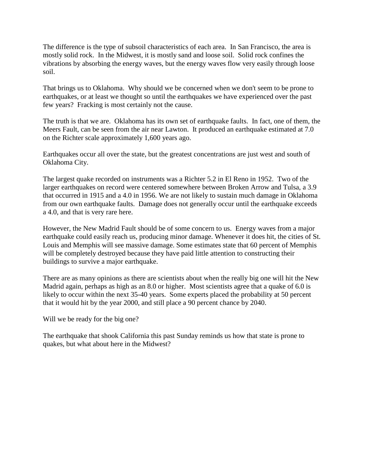The difference is the type of subsoil characteristics of each area. In San Francisco, the area is mostly solid rock. In the Midwest, it is mostly sand and loose soil. Solid rock confines the vibrations by absorbing the energy waves, but the energy waves flow very easily through loose soil.

That brings us to Oklahoma. Why should we be concerned when we don't seem to be prone to earthquakes, or at least we thought so until the earthquakes we have experienced over the past few years? Fracking is most certainly not the cause.

The truth is that we are. Oklahoma has its own set of earthquake faults. In fact, one of them, the Meers Fault, can be seen from the air near Lawton. It produced an earthquake estimated at 7.0 on the Richter scale approximately 1,600 years ago.

Earthquakes occur all over the state, but the greatest concentrations are just west and south of Oklahoma City.

The largest quake recorded on instruments was a Richter 5.2 in El Reno in 1952. Two of the larger earthquakes on record were centered somewhere between Broken Arrow and Tulsa, a 3.9 that occurred in 1915 and a 4.0 in 1956. We are not likely to sustain much damage in Oklahoma from our own earthquake faults. Damage does not generally occur until the earthquake exceeds a 4.0, and that is very rare here.

However, the New Madrid Fault should be of some concern to us. Energy waves from a major earthquake could easily reach us, producing minor damage. Whenever it does hit, the cities of St. Louis and Memphis will see massive damage. Some estimates state that 60 percent of Memphis will be completely destroyed because they have paid little attention to constructing their buildings to survive a major earthquake.

There are as many opinions as there are scientists about when the really big one will hit the New Madrid again, perhaps as high as an 8.0 or higher. Most scientists agree that a quake of 6.0 is likely to occur within the next 35-40 years. Some experts placed the probability at 50 percent that it would hit by the year 2000, and still place a 90 percent chance by 2040.

Will we be ready for the big one?

The earthquake that shook California this past Sunday reminds us how that state is prone to quakes, but what about here in the Midwest?